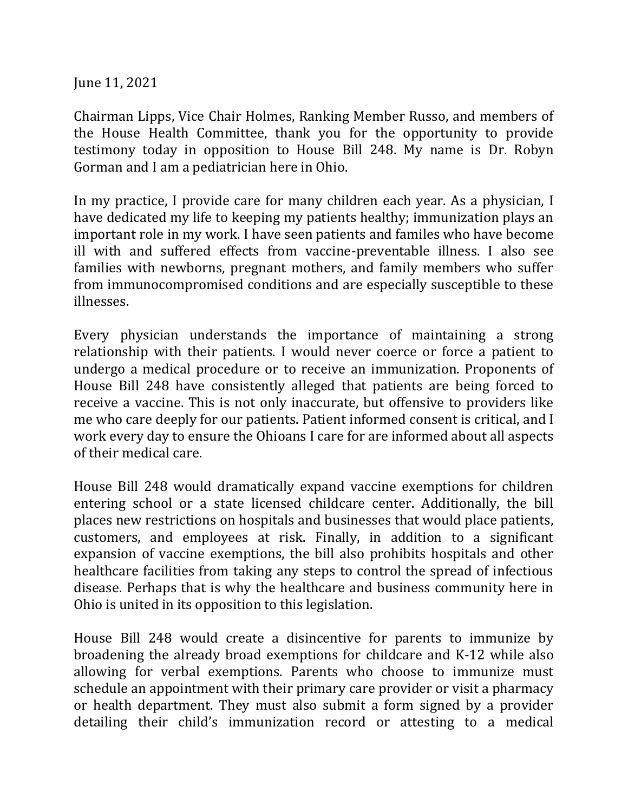June 11, 2021

Chairman Lipps, Vice Chair Holmes, Ranking Member Russo, and members of the House Health Committee, thank you for the opportunity to provide testimony today in opposition to House Bill 248. My name is Dr. Robyn Gorman and I am a pediatrician here in Ohio.

In my practice, I provide care for many children each year. As a physician, I have dedicated my life to keeping my patients healthy; immunization plays an important role in my work. I have seen patients and familes who have become ill with and suffered effects from vaccine-preventable illness. I also see families with newborns, pregnant mothers, and family members who suffer from immunocompromised conditions and are especially susceptible to these illnesses.

Every physician understands the importance of maintaining a strong relationship with their patients. I would never coerce or force a patient to undergo a medical procedure or to receive an immunization. Proponents of House Bill 248 have consistently alleged that patients are being forced to receive a vaccine. This is not only inaccurate, but offensive to providers like me who care deeply for our patients. Patient informed consent is critical, and I work every day to ensure the Ohioans I care for are informed about all aspects of their medical care.

House Bill 248 would dramatically expand vaccine exemptions for children entering school or a state licensed childcare center. Additionally, the bill places new restrictions on hospitals and businesses that would place patients, customers, and employees at risk. Finally, in addition to a significant expansion of vaccine exemptions, the bill also prohibits hospitals and other healthcare facilities from taking any steps to control the spread of infectious disease. Perhaps that is why the healthcare and business community here in Ohio is united in its opposition to this legislation.

House Bill 248 would create a disincentive for parents to immunize by broadening the already broad exemptions for childcare and K-12 while also allowing for verbal exemptions. Parents who choose to immunize must schedule an appointment with their primary care provider or visit a pharmacy or health department. They must also submit a form signed by a provider detailing their child's immunization record or attesting to a medical